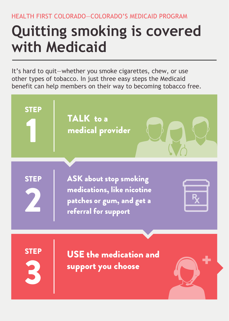HEALTH FIRST COLORADO—COLORADO'S MEDICAID PROGRAM

# **Quitting smoking is covered with Medicaid**

It's hard to quit—whether you smoke cigarettes, chew, or use other types of tobacco. In just three easy steps the Medicaid benefit can help members on their way to becoming tobacco free.